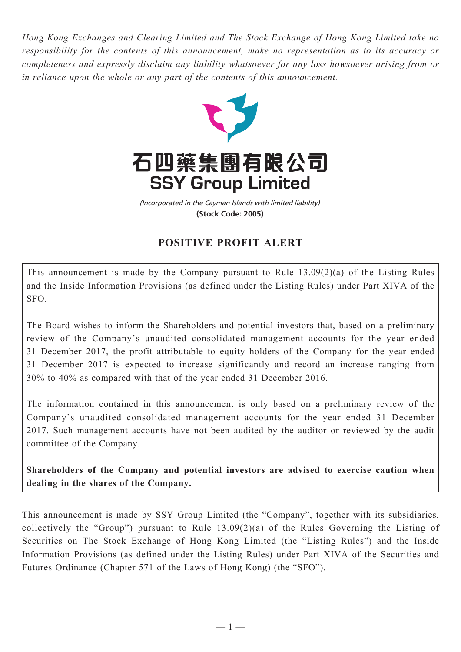*Hong Kong Exchanges and Clearing Limited and The Stock Exchange of Hong Kong Limited take no responsibility for the contents of this announcement, make no representation as to its accuracy or completeness and expressly disclaim any liability whatsoever for any loss howsoever arising from or in reliance upon the whole or any part of the contents of this announcement.*



(Incorporated in the Cayman Islands with limited liability) **(Stock Code: 2005)**

## **POSITIVE PROFIT ALERT**

This announcement is made by the Company pursuant to Rule 13.09(2)(a) of the Listing Rules and the Inside Information Provisions (as defined under the Listing Rules) under Part XIVA of the SFO.

The Board wishes to inform the Shareholders and potential investors that, based on a preliminary review of the Company's unaudited consolidated management accounts for the year ended 31 December 2017, the profit attributable to equity holders of the Company for the year ended 31 December 2017 is expected to increase significantly and record an increase ranging from 30% to 40% as compared with that of the year ended 31 December 2016.

The information contained in this announcement is only based on a preliminary review of the Company's unaudited consolidated management accounts for the year ended 31 December 2017. Such management accounts have not been audited by the auditor or reviewed by the audit committee of the Company.

**Shareholders of the Company and potential investors are advised to exercise caution when dealing in the shares of the Company.**

This announcement is made by SSY Group Limited (the "Company", together with its subsidiaries, collectively the "Group") pursuant to Rule 13.09(2)(a) of the Rules Governing the Listing of Securities on The Stock Exchange of Hong Kong Limited (the "Listing Rules") and the Inside Information Provisions (as defined under the Listing Rules) under Part XIVA of the Securities and Futures Ordinance (Chapter 571 of the Laws of Hong Kong) (the "SFO").